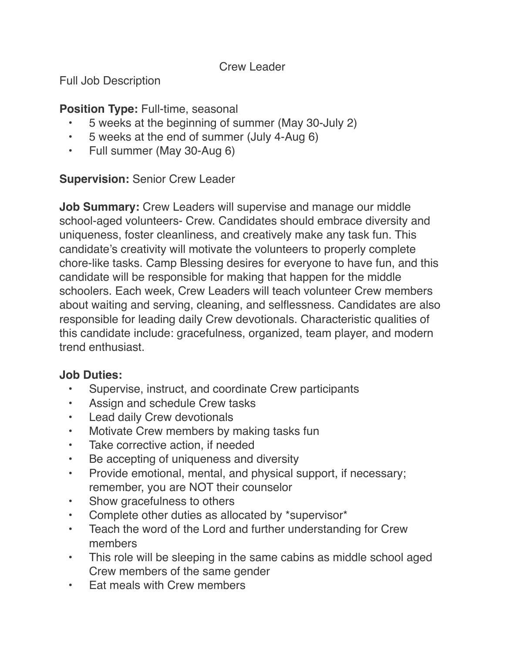Crew Leader

Full Job Description

## **Position Type: Full-time, seasonal**

- 5 weeks at the beginning of summer (May 30-July 2)
- 5 weeks at the end of summer (July 4-Aug 6)
- Full summer (May 30-Aug 6)

## **Supervision:** Senior Crew Leader

**Job Summary:** Crew Leaders will supervise and manage our middle school-aged volunteers- Crew. Candidates should embrace diversity and uniqueness, foster cleanliness, and creatively make any task fun. This candidate's creativity will motivate the volunteers to properly complete chore-like tasks. Camp Blessing desires for everyone to have fun, and this candidate will be responsible for making that happen for the middle schoolers. Each week, Crew Leaders will teach volunteer Crew members about waiting and serving, cleaning, and selflessness. Candidates are also responsible for leading daily Crew devotionals. Characteristic qualities of this candidate include: gracefulness, organized, team player, and modern trend enthusiast.

### **Job Duties:**

- Supervise, instruct, and coordinate Crew participants
- Assign and schedule Crew tasks
- **Lead daily Crew devotionals**
- Motivate Crew members by making tasks fun
- Take corrective action, if needed
- Be accepting of uniqueness and diversity
- Provide emotional, mental, and physical support, if necessary; remember, you are NOT their counselor
- Show gracefulness to others
- Complete other duties as allocated by \*supervisor\*
- Teach the word of the Lord and further understanding for Crew members
- This role will be sleeping in the same cabins as middle school aged Crew members of the same gender
- Eat meals with Crew members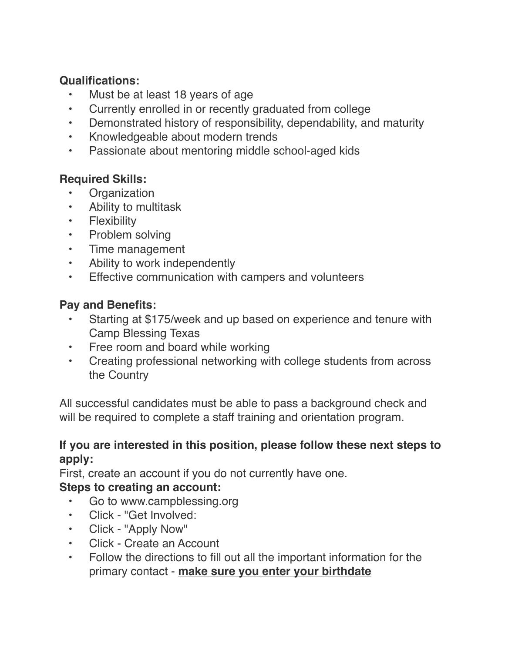### **Qualifications:**

- Must be at least 18 years of age
- Currently enrolled in or recently graduated from college
- Demonstrated history of responsibility, dependability, and maturity
- Knowledgeable about modern trends
- Passionate about mentoring middle school-aged kids

### **Required Skills:**

- **Organization**
- Ability to multitask
- Flexibility
- Problem solving
- Time management
- Ability to work independently
- Effective communication with campers and volunteers

#### **Pay and Benefits:**

- Starting at \$175/week and up based on experience and tenure with Camp Blessing Texas
- Free room and board while working
- Creating professional networking with college students from across the Country

All successful candidates must be able to pass a background check and will be required to complete a staff training and orientation program.

### **If you are interested in this position, please follow these next steps to apply:**

First, create an account if you do not currently have one.

### **Steps to creating an account:**

- Go to www.campblessing.org
- Click "Get Involved:
- Click "Apply Now"
- Click Create an Account
- Follow the directions to fill out all the important information for the primary contact - **make sure you enter your birthdate**